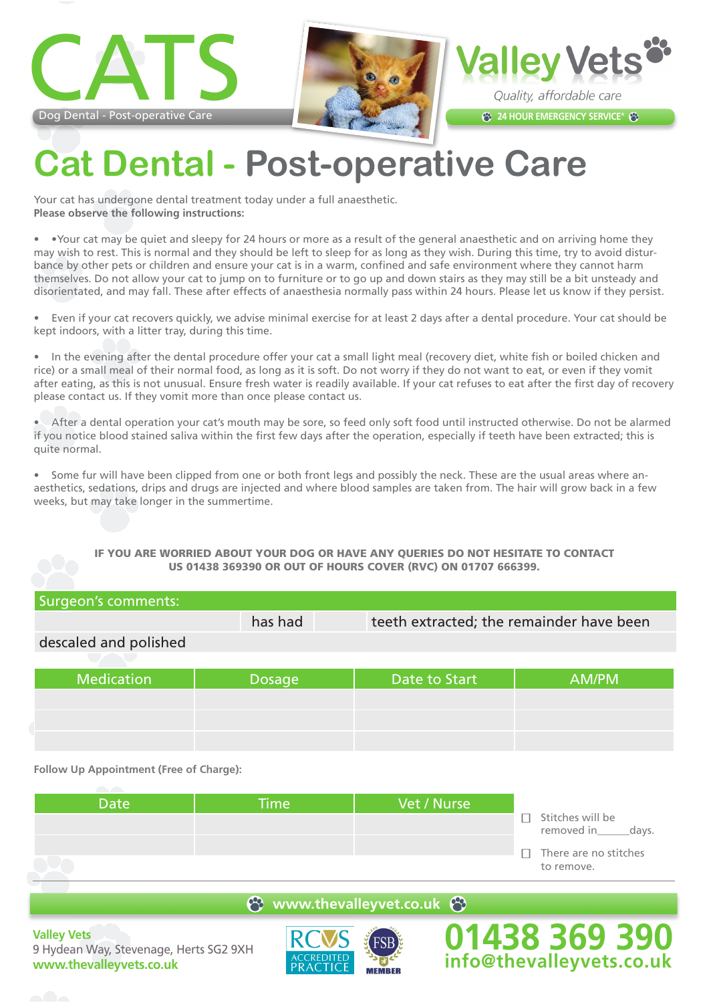





## **Cat Dental - Post-operative Care**

Your cat has undergone dental treatment today under a full anaesthetic. **Please observe the following instructions:**

• •Your cat may be quiet and sleepy for 24 hours or more as a result of the general anaesthetic and on arriving home they may wish to rest. This is normal and they should be left to sleep for as long as they wish. During this time, try to avoid disturbance by other pets or children and ensure your cat is in a warm, confined and safe environment where they cannot harm themselves. Do not allow your cat to jump on to furniture or to go up and down stairs as they may still be a bit unsteady and disorientated, and may fall. These after effects of anaesthesia normally pass within 24 hours. Please let us know if they persist.

• Even if your cat recovers quickly, we advise minimal exercise for at least 2 days after a dental procedure. Your cat should be kept indoors, with a litter tray, during this time.

• In the evening after the dental procedure offer your cat a small light meal (recovery diet, white fish or boiled chicken and rice) or a small meal of their normal food, as long as it is soft. Do not worry if they do not want to eat, or even if they vomit after eating, as this is not unusual. Ensure fresh water is readily available. If your cat refuses to eat after the first day of recovery please contact us. If they vomit more than once please contact us.

• After a dental operation your cat's mouth may be sore, so feed only soft food until instructed otherwise. Do not be alarmed if you notice blood stained saliva within the first few days after the operation, especially if teeth have been extracted; this is quite normal.

• Some fur will have been clipped from one or both front legs and possibly the neck. These are the usual areas where anaesthetics, sedations, drips and drugs are injected and where blood samples are taken from. The hair will grow back in a few weeks, but may take longer in the summertime.

## IF YOU ARE WORRIED ABOUT YOUR DOG OR HAVE ANY QUERIES DO NOT HESITATE TO CONTACT US 01438 369390 OR OUT OF HOURS COVER (RVC) ON 01707 666399.

| Surgeon's comments:   |               |                                          |       |
|-----------------------|---------------|------------------------------------------|-------|
|                       | has had       | teeth extracted; the remainder have been |       |
| descaled and polished |               |                                          |       |
| <b>Medication</b>     | <b>Dosage</b> | Date to Start                            | AM/PM |
|                       |               |                                          |       |

**Follow Up Appointment (Free of Charge):**

| Stitches will be<br>п<br>removed in<br>days.<br>There are no stitches<br>П.<br>to remove. | <b>Date</b> | <b>Time</b> | Vet / Nurse |  |
|-------------------------------------------------------------------------------------------|-------------|-------------|-------------|--|
|                                                                                           |             |             |             |  |
|                                                                                           |             |             |             |  |
|                                                                                           |             |             |             |  |

**e** www.thevalleyvet.co.uk  $\Theta$ 

**Valley Vets** 9 Hydean Way, Stevenage, Herts SG2 9XH **www.thevalleyvets.co.uk**



**01438 369 390 info@thevalleyvets.co.uk**